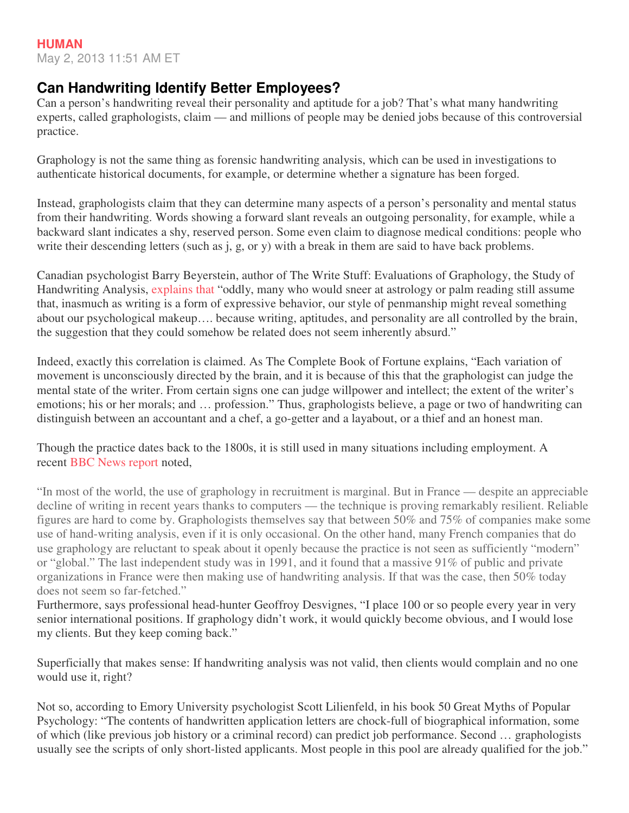## **Can Handwriting Identify Better Employees?**

Can a person's handwriting reveal their personality and aptitude for a job? That's what many handwriting experts, called graphologists, claim — and millions of people may be denied jobs because of this controversial practice.

Graphology is not the same thing as forensic handwriting analysis, which can be used in investigations to authenticate historical documents, for example, or determine whether a signature has been forged.

Instead, graphologists claim that they can determine many aspects of a person's personality and mental status from their handwriting. Words showing a forward slant reveals an outgoing personality, for example, while a backward slant indicates a shy, reserved person. Some even claim to diagnose medical conditions: people who write their descending letters (such as j, g, or y) with a break in them are said to have back problems.

Canadian psychologist Barry Beyerstein, author of The Write Stuff: Evaluations of Graphology, the Study of Handwriting Analysis, explains that "oddly, many who would sneer at astrology or palm reading still assume that, inasmuch as writing is a form of expressive behavior, our style of penmanship might reveal something about our psychological makeup…. because writing, aptitudes, and personality are all controlled by the brain, the suggestion that they could somehow be related does not seem inherently absurd."

Indeed, exactly this correlation is claimed. As The Complete Book of Fortune explains, "Each variation of movement is unconsciously directed by the brain, and it is because of this that the graphologist can judge the mental state of the writer. From certain signs one can judge willpower and intellect; the extent of the writer's emotions; his or her morals; and … profession." Thus, graphologists believe, a page or two of handwriting can distinguish between an accountant and a chef, a go-getter and a layabout, or a thief and an honest man.

Though the practice dates back to the 1800s, it is still used in many situations including employment. A recent BBC News report noted,

"In most of the world, the use of graphology in recruitment is marginal. But in France — despite an appreciable decline of writing in recent years thanks to computers — the technique is proving remarkably resilient. Reliable figures are hard to come by. Graphologists themselves say that between 50% and 75% of companies make some use of hand-writing analysis, even if it is only occasional. On the other hand, many French companies that do use graphology are reluctant to speak about it openly because the practice is not seen as sufficiently "modern" or "global." The last independent study was in 1991, and it found that a massive 91% of public and private organizations in France were then making use of handwriting analysis. If that was the case, then 50% today does not seem so far-fetched."

Furthermore, says professional head-hunter Geoffroy Desvignes, "I place 100 or so people every year in very senior international positions. If graphology didn't work, it would quickly become obvious, and I would lose my clients. But they keep coming back."

Superficially that makes sense: If handwriting analysis was not valid, then clients would complain and no one would use it, right?

Not so, according to Emory University psychologist Scott Lilienfeld, in his book 50 Great Myths of Popular Psychology: "The contents of handwritten application letters are chock-full of biographical information, some of which (like previous job history or a criminal record) can predict job performance. Second … graphologists usually see the scripts of only short-listed applicants. Most people in this pool are already qualified for the job."